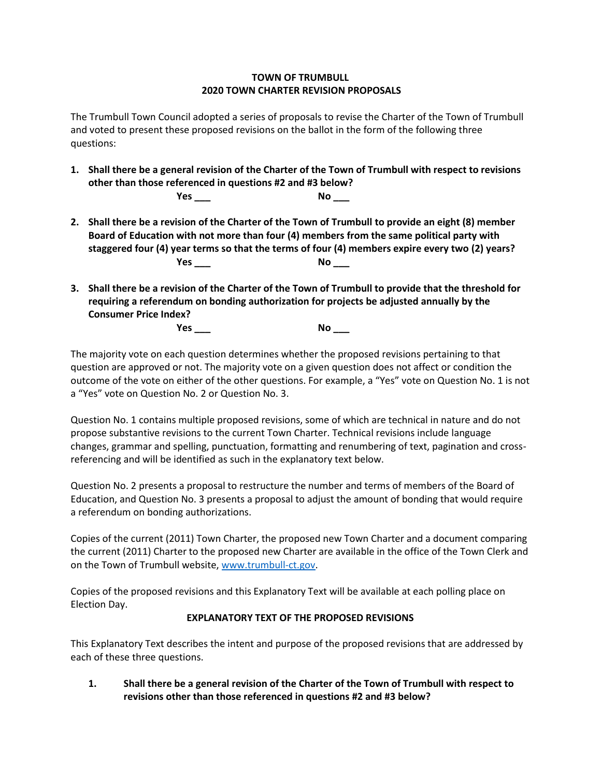## **TOWN OF TRUMBULL 2020 TOWN CHARTER REVISION PROPOSALS**

The Trumbull Town Council adopted a series of proposals to revise the Charter of the Town of Trumbull and voted to present these proposed revisions on the ballot in the form of the following three questions:

- **1. Shall there be a general revision of the Charter of the Town of Trumbull with respect to revisions other than those referenced in questions #2 and #3 below? Yes \_\_\_ No \_\_\_**
- **2. Shall there be a revision of the Charter of the Town of Trumbull to provide an eight (8) member Board of Education with not more than four (4) members from the same political party with staggered four (4) year terms so that the terms of four (4) members expire every two (2) years? Yes \_\_\_ No \_\_\_**
- **3. Shall there be a revision of the Charter of the Town of Trumbull to provide that the threshold for requiring a referendum on bonding authorization for projects be adjusted annually by the Consumer Price Index?**

**Yes \_\_\_ No \_\_\_**

The majority vote on each question determines whether the proposed revisions pertaining to that question are approved or not. The majority vote on a given question does not affect or condition the outcome of the vote on either of the other questions. For example, a "Yes" vote on Question No. 1 is not a "Yes" vote on Question No. 2 or Question No. 3.

Question No. 1 contains multiple proposed revisions, some of which are technical in nature and do not propose substantive revisions to the current Town Charter. Technical revisions include language changes, grammar and spelling, punctuation, formatting and renumbering of text, pagination and crossreferencing and will be identified as such in the explanatory text below.

Question No. 2 presents a proposal to restructure the number and terms of members of the Board of Education, and Question No. 3 presents a proposal to adjust the amount of bonding that would require a referendum on bonding authorizations.

Copies of the current (2011) Town Charter, the proposed new Town Charter and a document comparing the current (2011) Charter to the proposed new Charter are available in the office of the Town Clerk and on the Town of Trumbull website[, www.trumbull-ct.gov.](http://www.trumbull-ct.gov/)

Copies of the proposed revisions and this Explanatory Text will be available at each polling place on Election Day.

## **EXPLANATORY TEXT OF THE PROPOSED REVISIONS**

This Explanatory Text describes the intent and purpose of the proposed revisions that are addressed by each of these three questions.

**1. Shall there be a general revision of the Charter of the Town of Trumbull with respect to revisions other than those referenced in questions #2 and #3 below?**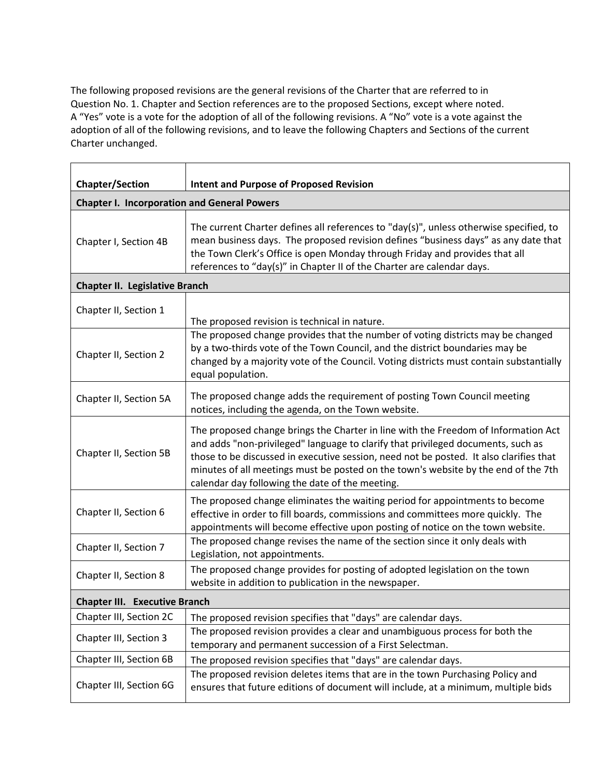The following proposed revisions are the general revisions of the Charter that are referred to in Question No. 1. Chapter and Section references are to the proposed Sections, except where noted. A "Yes" vote is a vote for the adoption of all of the following revisions. A "No" vote is a vote against the adoption of all of the following revisions, and to leave the following Chapters and Sections of the current Charter unchanged.

| <b>Chapter/Section</b>                             | <b>Intent and Purpose of Proposed Revision</b>                                                                                                                                                                                                                                                                                                                                                            |  |
|----------------------------------------------------|-----------------------------------------------------------------------------------------------------------------------------------------------------------------------------------------------------------------------------------------------------------------------------------------------------------------------------------------------------------------------------------------------------------|--|
| <b>Chapter I. Incorporation and General Powers</b> |                                                                                                                                                                                                                                                                                                                                                                                                           |  |
| Chapter I, Section 4B                              | The current Charter defines all references to "day(s)", unless otherwise specified, to<br>mean business days. The proposed revision defines "business days" as any date that<br>the Town Clerk's Office is open Monday through Friday and provides that all<br>references to "day(s)" in Chapter II of the Charter are calendar days.                                                                     |  |
| <b>Chapter II. Legislative Branch</b>              |                                                                                                                                                                                                                                                                                                                                                                                                           |  |
| Chapter II, Section 1                              | The proposed revision is technical in nature.                                                                                                                                                                                                                                                                                                                                                             |  |
| Chapter II, Section 2                              | The proposed change provides that the number of voting districts may be changed<br>by a two-thirds vote of the Town Council, and the district boundaries may be<br>changed by a majority vote of the Council. Voting districts must contain substantially<br>equal population.                                                                                                                            |  |
| Chapter II, Section 5A                             | The proposed change adds the requirement of posting Town Council meeting<br>notices, including the agenda, on the Town website.                                                                                                                                                                                                                                                                           |  |
| Chapter II, Section 5B                             | The proposed change brings the Charter in line with the Freedom of Information Act<br>and adds "non-privileged" language to clarify that privileged documents, such as<br>those to be discussed in executive session, need not be posted. It also clarifies that<br>minutes of all meetings must be posted on the town's website by the end of the 7th<br>calendar day following the date of the meeting. |  |
| Chapter II, Section 6                              | The proposed change eliminates the waiting period for appointments to become<br>effective in order to fill boards, commissions and committees more quickly. The<br>appointments will become effective upon posting of notice on the town website.                                                                                                                                                         |  |
| Chapter II, Section 7                              | The proposed change revises the name of the section since it only deals with<br>Legislation, not appointments.                                                                                                                                                                                                                                                                                            |  |
| Chapter II, Section 8                              | The proposed change provides for posting of adopted legislation on the town<br>website in addition to publication in the newspaper.                                                                                                                                                                                                                                                                       |  |
| <b>Chapter III. Executive Branch</b>               |                                                                                                                                                                                                                                                                                                                                                                                                           |  |
| Chapter III, Section 2C                            | The proposed revision specifies that "days" are calendar days.                                                                                                                                                                                                                                                                                                                                            |  |
| Chapter III, Section 3                             | The proposed revision provides a clear and unambiguous process for both the<br>temporary and permanent succession of a First Selectman.                                                                                                                                                                                                                                                                   |  |
| Chapter III, Section 6B                            | The proposed revision specifies that "days" are calendar days.                                                                                                                                                                                                                                                                                                                                            |  |
| Chapter III, Section 6G                            | The proposed revision deletes items that are in the town Purchasing Policy and<br>ensures that future editions of document will include, at a minimum, multiple bids                                                                                                                                                                                                                                      |  |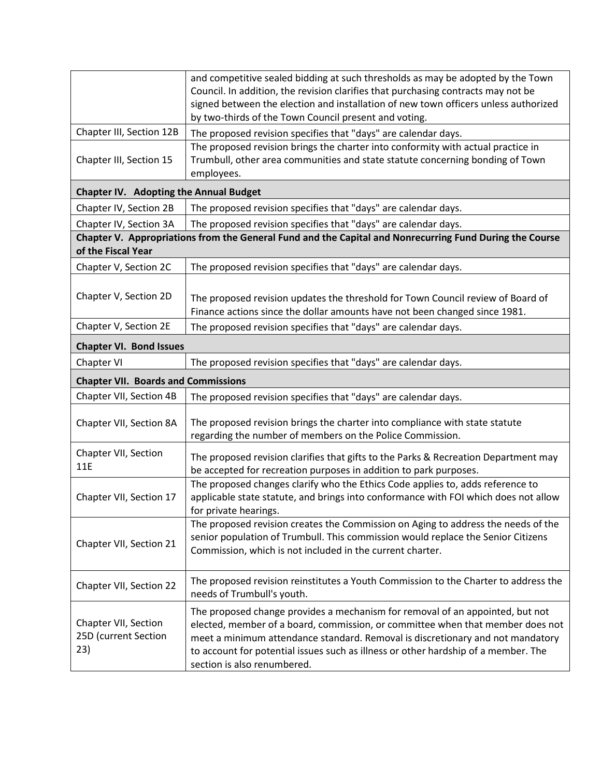|                                                                                                                               | and competitive sealed bidding at such thresholds as may be adopted by the Town<br>Council. In addition, the revision clarifies that purchasing contracts may not be                                                                                                                                                                                                   |  |
|-------------------------------------------------------------------------------------------------------------------------------|------------------------------------------------------------------------------------------------------------------------------------------------------------------------------------------------------------------------------------------------------------------------------------------------------------------------------------------------------------------------|--|
|                                                                                                                               | signed between the election and installation of new town officers unless authorized<br>by two-thirds of the Town Council present and voting.                                                                                                                                                                                                                           |  |
| Chapter III, Section 12B                                                                                                      | The proposed revision specifies that "days" are calendar days.                                                                                                                                                                                                                                                                                                         |  |
| Chapter III, Section 15                                                                                                       | The proposed revision brings the charter into conformity with actual practice in<br>Trumbull, other area communities and state statute concerning bonding of Town<br>employees.                                                                                                                                                                                        |  |
| <b>Chapter IV. Adopting the Annual Budget</b>                                                                                 |                                                                                                                                                                                                                                                                                                                                                                        |  |
| Chapter IV, Section 2B                                                                                                        | The proposed revision specifies that "days" are calendar days.                                                                                                                                                                                                                                                                                                         |  |
| Chapter IV, Section 3A                                                                                                        | The proposed revision specifies that "days" are calendar days.                                                                                                                                                                                                                                                                                                         |  |
| Chapter V. Appropriations from the General Fund and the Capital and Nonrecurring Fund During the Course<br>of the Fiscal Year |                                                                                                                                                                                                                                                                                                                                                                        |  |
| Chapter V, Section 2C                                                                                                         | The proposed revision specifies that "days" are calendar days.                                                                                                                                                                                                                                                                                                         |  |
| Chapter V, Section 2D                                                                                                         | The proposed revision updates the threshold for Town Council review of Board of<br>Finance actions since the dollar amounts have not been changed since 1981.                                                                                                                                                                                                          |  |
| Chapter V, Section 2E                                                                                                         | The proposed revision specifies that "days" are calendar days.                                                                                                                                                                                                                                                                                                         |  |
| <b>Chapter VI. Bond Issues</b>                                                                                                |                                                                                                                                                                                                                                                                                                                                                                        |  |
| Chapter VI                                                                                                                    | The proposed revision specifies that "days" are calendar days.                                                                                                                                                                                                                                                                                                         |  |
| <b>Chapter VII. Boards and Commissions</b>                                                                                    |                                                                                                                                                                                                                                                                                                                                                                        |  |
| Chapter VII, Section 4B                                                                                                       | The proposed revision specifies that "days" are calendar days.                                                                                                                                                                                                                                                                                                         |  |
| Chapter VII, Section 8A                                                                                                       | The proposed revision brings the charter into compliance with state statute<br>regarding the number of members on the Police Commission.                                                                                                                                                                                                                               |  |
| Chapter VII, Section<br>11E                                                                                                   | The proposed revision clarifies that gifts to the Parks & Recreation Department may<br>be accepted for recreation purposes in addition to park purposes.                                                                                                                                                                                                               |  |
| Chapter VII, Section 17                                                                                                       | The proposed changes clarify who the Ethics Code applies to, adds reference to<br>applicable state statute, and brings into conformance with FOI which does not allow<br>for private hearings.                                                                                                                                                                         |  |
| Chapter VII, Section 21                                                                                                       | The proposed revision creates the Commission on Aging to address the needs of the<br>senior population of Trumbull. This commission would replace the Senior Citizens<br>Commission, which is not included in the current charter.                                                                                                                                     |  |
| Chapter VII, Section 22                                                                                                       | The proposed revision reinstitutes a Youth Commission to the Charter to address the<br>needs of Trumbull's youth.                                                                                                                                                                                                                                                      |  |
| Chapter VII, Section<br>25D (current Section<br>23)                                                                           | The proposed change provides a mechanism for removal of an appointed, but not<br>elected, member of a board, commission, or committee when that member does not<br>meet a minimum attendance standard. Removal is discretionary and not mandatory<br>to account for potential issues such as illness or other hardship of a member. The<br>section is also renumbered. |  |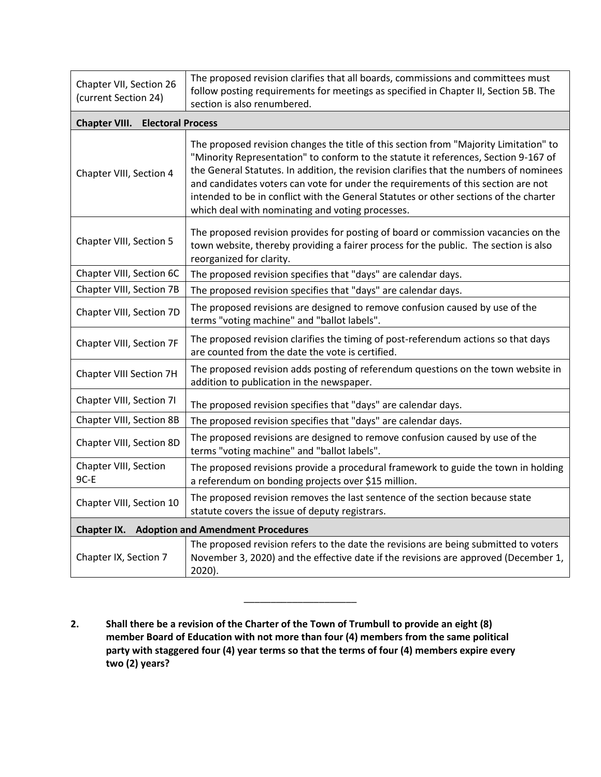| Chapter VII, Section 26<br>(current Section 24)      | The proposed revision clarifies that all boards, commissions and committees must<br>follow posting requirements for meetings as specified in Chapter II, Section 5B. The<br>section is also renumbered.                                                                                                                                                                                                                                                                                                  |  |
|------------------------------------------------------|----------------------------------------------------------------------------------------------------------------------------------------------------------------------------------------------------------------------------------------------------------------------------------------------------------------------------------------------------------------------------------------------------------------------------------------------------------------------------------------------------------|--|
| <b>Chapter VIII.</b><br><b>Electoral Process</b>     |                                                                                                                                                                                                                                                                                                                                                                                                                                                                                                          |  |
| Chapter VIII, Section 4                              | The proposed revision changes the title of this section from "Majority Limitation" to<br>"Minority Representation" to conform to the statute it references, Section 9-167 of<br>the General Statutes. In addition, the revision clarifies that the numbers of nominees<br>and candidates voters can vote for under the requirements of this section are not<br>intended to be in conflict with the General Statutes or other sections of the charter<br>which deal with nominating and voting processes. |  |
| Chapter VIII, Section 5                              | The proposed revision provides for posting of board or commission vacancies on the<br>town website, thereby providing a fairer process for the public. The section is also<br>reorganized for clarity.                                                                                                                                                                                                                                                                                                   |  |
| Chapter VIII, Section 6C                             | The proposed revision specifies that "days" are calendar days.                                                                                                                                                                                                                                                                                                                                                                                                                                           |  |
| Chapter VIII, Section 7B                             | The proposed revision specifies that "days" are calendar days.                                                                                                                                                                                                                                                                                                                                                                                                                                           |  |
| Chapter VIII, Section 7D                             | The proposed revisions are designed to remove confusion caused by use of the<br>terms "voting machine" and "ballot labels".                                                                                                                                                                                                                                                                                                                                                                              |  |
| Chapter VIII, Section 7F                             | The proposed revision clarifies the timing of post-referendum actions so that days<br>are counted from the date the vote is certified.                                                                                                                                                                                                                                                                                                                                                                   |  |
| Chapter VIII Section 7H                              | The proposed revision adds posting of referendum questions on the town website in<br>addition to publication in the newspaper.                                                                                                                                                                                                                                                                                                                                                                           |  |
| Chapter VIII, Section 7I                             | The proposed revision specifies that "days" are calendar days.                                                                                                                                                                                                                                                                                                                                                                                                                                           |  |
| Chapter VIII, Section 8B                             | The proposed revision specifies that "days" are calendar days.                                                                                                                                                                                                                                                                                                                                                                                                                                           |  |
| Chapter VIII, Section 8D                             | The proposed revisions are designed to remove confusion caused by use of the<br>terms "voting machine" and "ballot labels".                                                                                                                                                                                                                                                                                                                                                                              |  |
| Chapter VIII, Section<br>9C-E                        | The proposed revisions provide a procedural framework to guide the town in holding<br>a referendum on bonding projects over \$15 million.                                                                                                                                                                                                                                                                                                                                                                |  |
| Chapter VIII, Section 10                             | The proposed revision removes the last sentence of the section because state<br>statute covers the issue of deputy registrars.                                                                                                                                                                                                                                                                                                                                                                           |  |
| <b>Chapter IX.</b> Adoption and Amendment Procedures |                                                                                                                                                                                                                                                                                                                                                                                                                                                                                                          |  |
| Chapter IX, Section 7                                | The proposed revision refers to the date the revisions are being submitted to voters<br>November 3, 2020) and the effective date if the revisions are approved (December 1,<br>2020).                                                                                                                                                                                                                                                                                                                    |  |

**2. Shall there be a revision of the Charter of the Town of Trumbull to provide an eight (8) member Board of Education with not more than four (4) members from the same political party with staggered four (4) year terms so that the terms of four (4) members expire every two (2) years?**

\_\_\_\_\_\_\_\_\_\_\_\_\_\_\_\_\_\_\_\_\_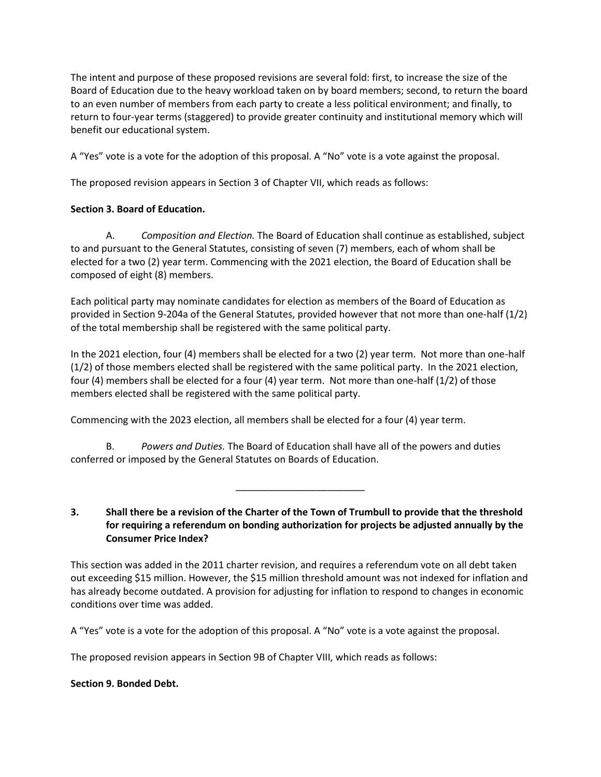The intent and purpose of these proposed revisions are several fold: first, to increase the size of the Board of Education due to the heavy workload taken on by board members; second, to return the board to an even number of members from each party to create a less political environment; and finally, to return to four-year terms (staggered) to provide greater continuity and institutional memory which will benefit our educational system.

A "Yes" vote is a vote for the adoption of this proposal. A "No" vote is a vote against the proposal.

The proposed revision appears in Section 3 of Chapter VII, which reads as follows:

## **Section 3. Board of Education.**

A. *Composition and Election.* The Board of Education shall continue as established, subject to and pursuant to the General Statutes, consisting of seven (7) members, each of whom shall be elected for a two (2) year term. Commencing with the 2021 election, the Board of Education shall be composed of eight (8) members.

Each political party may nominate candidates for election as members of the Board of Education as provided in Section 9-204a of the General Statutes, provided however that not more than one-half (1/2) of the total membership shall be registered with the same political party.

In the 2021 election, four (4) members shall be elected for a two (2) year term. Not more than one-half (1/2) of those members elected shall be registered with the same political party. In the 2021 election, four (4) members shall be elected for a four (4) year term. Not more than one-half (1/2) of those members elected shall be registered with the same political party.

Commencing with the 2023 election, all members shall be elected for a four (4) year term.

B. *Powers and Duties.* The Board of Education shall have all of the powers and duties conferred or imposed by the General Statutes on Boards of Education.

**3. Shall there be a revision of the Charter of the Town of Trumbull to provide that the threshold for requiring a referendum on bonding authorization for projects be adjusted annually by the Consumer Price Index?** 

\_\_\_\_\_\_\_\_\_\_\_\_\_\_\_\_\_\_\_\_\_\_\_\_

This section was added in the 2011 charter revision, and requires a referendum vote on all debt taken out exceeding \$15 million. However, the \$15 million threshold amount was not indexed for inflation and has already become outdated. A provision for adjusting for inflation to respond to changes in economic conditions over time was added.

A "Yes" vote is a vote for the adoption of this proposal. A "No" vote is a vote against the proposal.

The proposed revision appears in Section 9B of Chapter VIII, which reads as follows:

## **Section 9. Bonded Debt.**